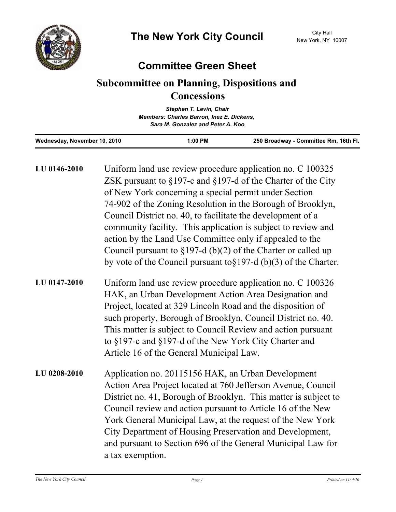

## **Committee Green Sheet**

## **Subcommittee on Planning, Dispositions and Concessions**

| Stephen T. Levin, Chair                   |                                   |                                       |  |  |
|-------------------------------------------|-----------------------------------|---------------------------------------|--|--|
| Members: Charles Barron, Inez E. Dickens, |                                   |                                       |  |  |
|                                           | Sara M. Gonzalez and Peter A. Koo |                                       |  |  |
| Wednesday, November 10, 2010              | 1:00 PM                           | 250 Broadway - Committee Rm, 16th Fl. |  |  |

| LU 0146-2010 | Uniform land use review procedure application no. C 100325<br>ZSK pursuant to $\S 197$ -c and $\S 197$ -d of the Charter of the City<br>of New York concerning a special permit under Section<br>74-902 of the Zoning Resolution in the Borough of Brooklyn,<br>Council District no. 40, to facilitate the development of a<br>community facility. This application is subject to review and<br>action by the Land Use Committee only if appealed to the<br>Council pursuant to $\S 197-d (b)(2)$ of the Charter or called up<br>by vote of the Council pursuant to §197-d (b)(3) of the Charter. |
|--------------|---------------------------------------------------------------------------------------------------------------------------------------------------------------------------------------------------------------------------------------------------------------------------------------------------------------------------------------------------------------------------------------------------------------------------------------------------------------------------------------------------------------------------------------------------------------------------------------------------|
| LU 0147-2010 | Uniform land use review procedure application no. C 100326<br>HAK, an Urban Development Action Area Designation and<br>Project, located at 329 Lincoln Road and the disposition of<br>such property, Borough of Brooklyn, Council District no. 40.<br>This matter is subject to Council Review and action pursuant<br>to §197-c and §197-d of the New York City Charter and<br>Article 16 of the General Municipal Law.                                                                                                                                                                           |
| LU 0208-2010 | Application no. 20115156 HAK, an Urban Development<br>Action Area Project located at 760 Jefferson Avenue, Council<br>District no. 41, Borough of Brooklyn. This matter is subject to<br>Council review and action pursuant to Article 16 of the New<br>York General Municipal Law, at the request of the New York<br>City Department of Housing Preservation and Development,<br>and pursuant to Section 696 of the General Municipal Law for<br>a tax exemption.                                                                                                                                |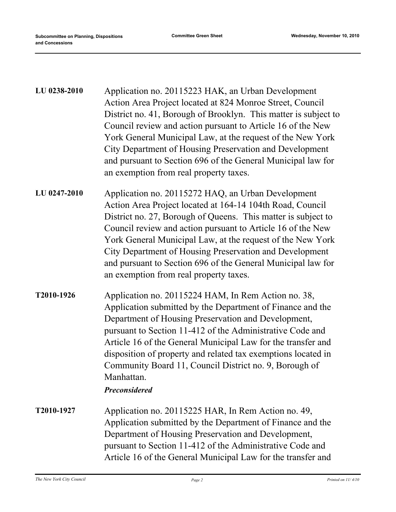| LU 0238-2010 | Application no. 20115223 HAK, an Urban Development<br>Action Area Project located at 824 Monroe Street, Council<br>District no. 41, Borough of Brooklyn. This matter is subject to<br>Council review and action pursuant to Article 16 of the New<br>York General Municipal Law, at the request of the New York<br>City Department of Housing Preservation and Development<br>and pursuant to Section 696 of the General Municipal law for<br>an exemption from real property taxes. |
|--------------|--------------------------------------------------------------------------------------------------------------------------------------------------------------------------------------------------------------------------------------------------------------------------------------------------------------------------------------------------------------------------------------------------------------------------------------------------------------------------------------|
| LU 0247-2010 | Application no. 20115272 HAQ, an Urban Development<br>Action Area Project located at 164-14 104th Road, Council<br>District no. 27, Borough of Queens. This matter is subject to<br>Council review and action pursuant to Article 16 of the New<br>York General Municipal Law, at the request of the New York<br>City Department of Housing Preservation and Development<br>and pursuant to Section 696 of the General Municipal law for<br>an exemption from real property taxes.   |
| T2010-1926   | Application no. 20115224 HAM, In Rem Action no. 38,<br>Application submitted by the Department of Finance and the<br>Department of Housing Preservation and Development,<br>pursuant to Section 11-412 of the Administrative Code and<br>Article 16 of the General Municipal Law for the transfer and<br>disposition of property and related tax exemptions located in<br>Community Board 11, Council District no. 9, Borough of<br>Manhattan.<br><b>Preconsidered</b>               |
| T2010-1927   | Application no. 20115225 HAR, In Rem Action no. 49,<br>Application submitted by the Department of Finance and the<br>Department of Housing Preservation and Development,<br>pursuant to Section 11-412 of the Administrative Code and<br>Article 16 of the General Municipal Law for the transfer and                                                                                                                                                                                |